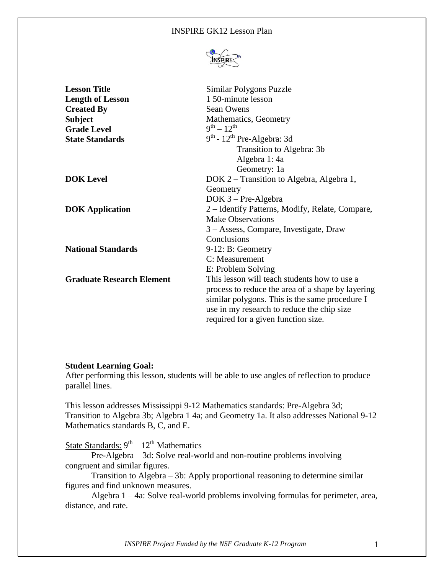#### INSPIRE GK12 Lesson Plan



| <b>Lesson Title</b><br><b>Length of Lesson</b> | Similar Polygons Puzzle<br>1 50-minute lesson                                                                                       |
|------------------------------------------------|-------------------------------------------------------------------------------------------------------------------------------------|
| <b>Created By</b>                              | Sean Owens                                                                                                                          |
| <b>Subject</b>                                 | Mathematics, Geometry                                                                                                               |
| <b>Grade Level</b>                             | $9^{th} - 12^{th}$                                                                                                                  |
| <b>State Standards</b>                         | 9 <sup>th</sup> - 12 <sup>th</sup> Pre-Algebra: 3d                                                                                  |
|                                                | Transition to Algebra: 3b                                                                                                           |
|                                                | Algebra 1: 4a                                                                                                                       |
|                                                | Geometry: 1a                                                                                                                        |
| <b>DOK</b> Level                               | DOK 2 – Transition to Algebra, Algebra 1,                                                                                           |
|                                                | Geometry                                                                                                                            |
|                                                | DOK 3 – Pre-Algebra                                                                                                                 |
| <b>DOK</b> Application                         | 2 - Identify Patterns, Modify, Relate, Compare,                                                                                     |
|                                                | <b>Make Observations</b>                                                                                                            |
|                                                | 3 – Assess, Compare, Investigate, Draw                                                                                              |
|                                                | Conclusions                                                                                                                         |
| <b>National Standards</b>                      | 9-12: B: Geometry                                                                                                                   |
|                                                | C: Measurement                                                                                                                      |
|                                                | E: Problem Solving                                                                                                                  |
| <b>Graduate Research Element</b>               | This lesson will teach students how to use a<br>process to reduce the area of a shape by layering                                   |
|                                                | similar polygons. This is the same procedure I<br>use in my research to reduce the chip size<br>required for a given function size. |

#### **Student Learning Goal:**

After performing this lesson, students will be able to use angles of reflection to produce parallel lines.

This lesson addresses Mississippi 9-12 Mathematics standards: Pre-Algebra 3d; Transition to Algebra 3b; Algebra 1 4a; and Geometry 1a. It also addresses National 9-12 Mathematics standards B, C, and E.

State Standards: 9<sup>th</sup> – 12<sup>th</sup> Mathematics

Pre-Algebra – 3d: Solve real-world and non-routine problems involving congruent and similar figures.

Transition to Algebra – 3b: Apply proportional reasoning to determine similar figures and find unknown measures.

Algebra 1 – 4a: Solve real-world problems involving formulas for perimeter, area, distance, and rate.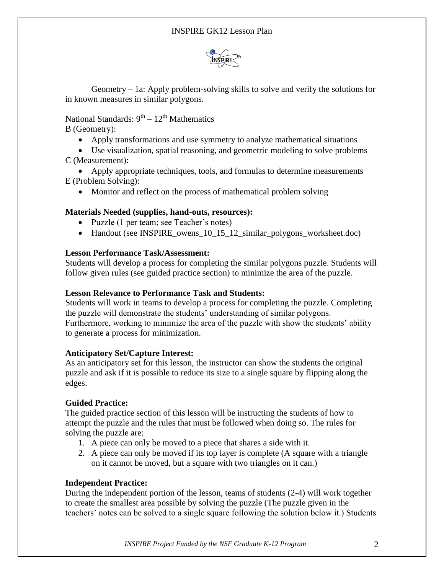

Geometry – 1a: Apply problem-solving skills to solve and verify the solutions for in known measures in similar polygons.

# National Standards: 9<sup>th</sup> – 12<sup>th</sup> Mathematics

B (Geometry):

- Apply transformations and use symmetry to analyze mathematical situations
- Use visualization, spatial reasoning, and geometric modeling to solve problems C (Measurement):
- Apply appropriate techniques, tools, and formulas to determine measurements E (Problem Solving):
	- Monitor and reflect on the process of mathematical problem solving

# **Materials Needed (supplies, hand-outs, resources):**

- Puzzle (1 per team; see Teacher's notes)
- Handout (see INSPIRE owens 10\_15\_12\_similar\_polygons\_worksheet.doc)

## **Lesson Performance Task/Assessment:**

Students will develop a process for completing the similar polygons puzzle. Students will follow given rules (see guided practice section) to minimize the area of the puzzle.

## **Lesson Relevance to Performance Task and Students:**

Students will work in teams to develop a process for completing the puzzle. Completing the puzzle will demonstrate the students' understanding of similar polygons. Furthermore, working to minimize the area of the puzzle with show the students' ability to generate a process for minimization.

## **Anticipatory Set/Capture Interest:**

As an anticipatory set for this lesson, the instructor can show the students the original puzzle and ask if it is possible to reduce its size to a single square by flipping along the edges.

# **Guided Practice:**

The guided practice section of this lesson will be instructing the students of how to attempt the puzzle and the rules that must be followed when doing so. The rules for solving the puzzle are:

- 1. A piece can only be moved to a piece that shares a side with it.
- 2. A piece can only be moved if its top layer is complete (A square with a triangle on it cannot be moved, but a square with two triangles on it can.)

# **Independent Practice:**

During the independent portion of the lesson, teams of students (2-4) will work together to create the smallest area possible by solving the puzzle (The puzzle given in the teachers' notes can be solved to a single square following the solution below it.) Students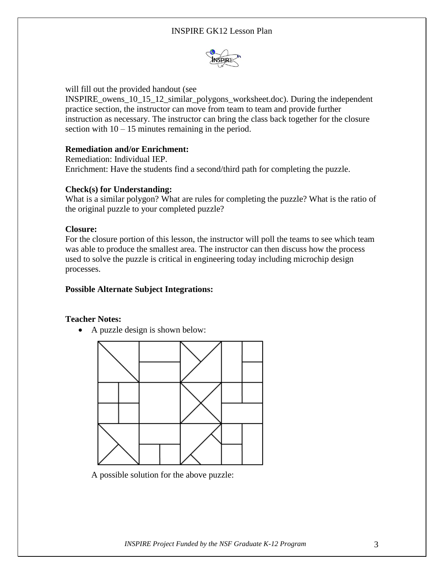

will fill out the provided handout (see

INSPIRE\_owens\_10\_15\_12\_similar\_polygons\_worksheet.doc). During the independent practice section, the instructor can move from team to team and provide further instruction as necessary. The instructor can bring the class back together for the closure section with  $10 - 15$  minutes remaining in the period.

## **Remediation and/or Enrichment:**

Remediation: Individual IEP. Enrichment: Have the students find a second/third path for completing the puzzle.

### **Check(s) for Understanding:**

What is a similar polygon? What are rules for completing the puzzle? What is the ratio of the original puzzle to your completed puzzle?

### **Closure:**

For the closure portion of this lesson, the instructor will poll the teams to see which team was able to produce the smallest area. The instructor can then discuss how the process used to solve the puzzle is critical in engineering today including microchip design processes.

### **Possible Alternate Subject Integrations:**

### **Teacher Notes:**

• A puzzle design is shown below:



A possible solution for the above puzzle: